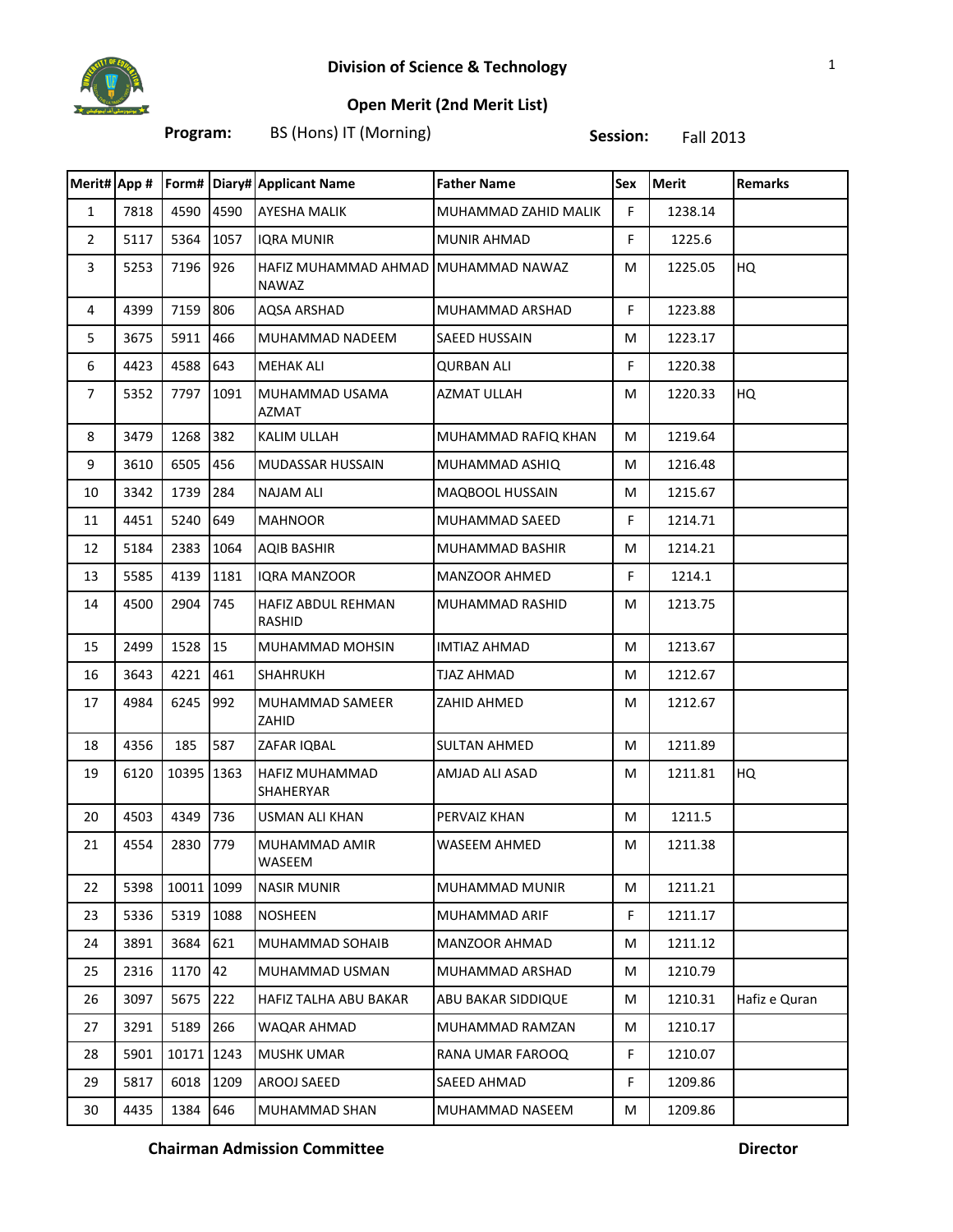

## **Open Merit (2nd Merit List)**

**Program:** BS (Hons) IT (Morning) **Session:** Fall 2013

| Merit# App #   |      |            |      | Form# Diary# Applicant Name          | <b>Father Name</b>     | Sex | <b>Merit</b> | <b>Remarks</b> |
|----------------|------|------------|------|--------------------------------------|------------------------|-----|--------------|----------------|
| $\mathbf{1}$   | 7818 | 4590       | 4590 | <b>AYESHA MALIK</b>                  | MUHAMMAD ZAHID MALIK   | F.  | 1238.14      |                |
| $\overline{2}$ | 5117 | 5364       | 1057 | <b>IQRA MUNIR</b>                    | MUNIR AHMAD            | F.  | 1225.6       |                |
| 3              | 5253 | 7196       | 926  | HAFIZ MUHAMMAD AHMAD<br><b>NAWAZ</b> | MUHAMMAD NAWAZ         | М   | 1225.05      | HQ             |
| 4              | 4399 | 7159       | 806  | <b>AQSA ARSHAD</b>                   | MUHAMMAD ARSHAD        | F.  | 1223.88      |                |
| 5              | 3675 | 5911       | 466  | MUHAMMAD NADEEM                      | SAEED HUSSAIN          | М   | 1223.17      |                |
| 6              | 4423 | 4588       | 643  | <b>MEHAK ALI</b>                     | <b>QURBAN ALI</b>      | F.  | 1220.38      |                |
| $\overline{7}$ | 5352 | 7797       | 1091 | MUHAMMAD USAMA<br>AZMAT              | <b>AZMAT ULLAH</b>     | М   | 1220.33      | HQ             |
| 8              | 3479 | 1268       | 382  | KALIM ULLAH                          | MUHAMMAD RAFIQ KHAN    | М   | 1219.64      |                |
| 9              | 3610 | 6505       | 456  | MUDASSAR HUSSAIN                     | MUHAMMAD ASHIQ         | М   | 1216.48      |                |
| 10             | 3342 | 1739       | 284  | <b>NAJAM ALI</b>                     | MAQBOOL HUSSAIN        | М   | 1215.67      |                |
| 11             | 4451 | 5240       | 649  | <b>MAHNOOR</b>                       | <b>MUHAMMAD SAEED</b>  | F.  | 1214.71      |                |
| 12             | 5184 | 2383       | 1064 | <b>AQIB BASHIR</b>                   | <b>MUHAMMAD BASHIR</b> | М   | 1214.21      |                |
| 13             | 5585 | 4139       | 1181 | <b>IORA MANZOOR</b>                  | <b>MANZOOR AHMED</b>   | F.  | 1214.1       |                |
| 14             | 4500 | 2904       | 745  | HAFIZ ABDUL REHMAN<br><b>RASHID</b>  | MUHAMMAD RASHID        | М   | 1213.75      |                |
| 15             | 2499 | 1528       | 15   | MUHAMMAD MOHSIN                      | <b>IMTIAZ AHMAD</b>    | М   | 1213.67      |                |
| 16             | 3643 | 4221       | 461  | <b>SHAHRUKH</b>                      | TJAZ AHMAD             | М   | 1212.67      |                |
| 17             | 4984 | 6245       | 992  | MUHAMMAD SAMEER<br>ZAHID             | ZAHID AHMED            | М   | 1212.67      |                |
| 18             | 4356 | 185        | 587  | ZAFAR IQBAL                          | <b>SULTAN AHMED</b>    | М   | 1211.89      |                |
| 19             | 6120 | 10395 1363 |      | HAFIZ MUHAMMAD<br><b>SHAHERYAR</b>   | AMJAD ALI ASAD         | М   | 1211.81      | HQ             |
| 20             | 4503 | 4349       | 736  | USMAN ALI KHAN                       | PERVAIZ KHAN           | М   | 1211.5       |                |
| 21             | 4554 | 2830       | 779  | MUHAMMAD AMIR<br>WASEEM              | <b>WASEEM AHMED</b>    | М   | 1211.38      |                |
| 22             | 5398 | 10011 1099 |      | <b>NASIR MUNIR</b>                   | MUHAMMAD MUNIR         | М   | 1211.21      |                |
| 23             | 5336 | 5319       | 1088 | <b>NOSHEEN</b>                       | MUHAMMAD ARIF          | F   | 1211.17      |                |
| 24             | 3891 | 3684       | 621  | MUHAMMAD SOHAIB                      | <b>MANZOOR AHMAD</b>   | М   | 1211.12      |                |
| 25             | 2316 | 1170       | 42   | MUHAMMAD USMAN                       | MUHAMMAD ARSHAD        | М   | 1210.79      |                |
| 26             | 3097 | 5675       | 222  | HAFIZ TALHA ABU BAKAR                | ABU BAKAR SIDDIQUE     | М   | 1210.31      | Hafiz e Quran  |
| 27             | 3291 | 5189       | 266  | WAQAR AHMAD                          | MUHAMMAD RAMZAN        | М   | 1210.17      |                |
| 28             | 5901 | 10171      | 1243 | <b>MUSHK UMAR</b>                    | RANA UMAR FAROOQ       | F   | 1210.07      |                |
| 29             | 5817 | 6018       | 1209 | AROOJ SAEED                          | SAEED AHMAD            | F.  | 1209.86      |                |
| 30             | 4435 | 1384       | 646  | MUHAMMAD SHAN                        | MUHAMMAD NASEEM        | М   | 1209.86      |                |